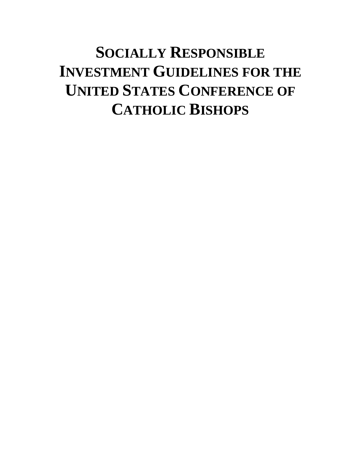# **SOCIALLY RESPONSIBLE INVESTMENT GUIDELINES FOR THE UNITED STATES CONFERENCE OF CATHOLIC BISHOPS**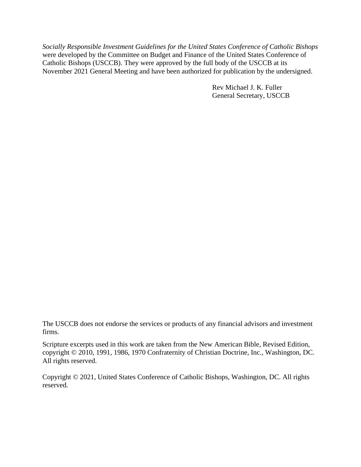*Socially Responsible Investment Guidelines for the United States Conference of Catholic Bishops* were developed by the Committee on Budget and Finance of the United States Conference of Catholic Bishops (USCCB). They were approved by the full body of the USCCB at its November 2021 General Meeting and have been authorized for publication by the undersigned.

> Rev Michael J. K. Fuller General Secretary, USCCB

The USCCB does not endorse the services or products of any financial advisors and investment firms.

Scripture excerpts used in this work are taken from the New American Bible, Revised Edition, copyright © 2010, 1991, 1986, 1970 Confraternity of Christian Doctrine, Inc., Washington, DC. All rights reserved.

Copyright © 2021, United States Conference of Catholic Bishops, Washington, DC. All rights reserved.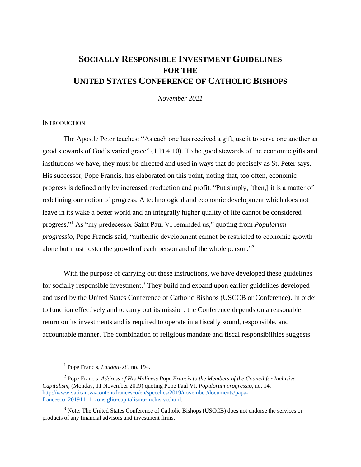# **SOCIALLY RESPONSIBLE INVESTMENT GUIDELINES FOR THE UNITED STATES CONFERENCE OF CATHOLIC BISHOPS**

*November 2021*

# **INTRODUCTION**

The Apostle Peter teaches: "As each one has received a gift, use it to serve one another as good stewards of God's varied grace" (1 Pt 4:10). To be good stewards of the economic gifts and institutions we have, they must be directed and used in ways that do precisely as St. Peter says. His successor, Pope Francis, has elaborated on this point, noting that, too often, economic progress is defined only by increased production and profit. "Put simply, [then,] it is a matter of redefining our notion of progress. A technological and economic development which does not leave in its wake a better world and an integrally higher quality of life cannot be considered progress." <sup>1</sup> As "my predecessor Saint Paul VI reminded us," quoting from *Populorum progressio*, Pope Francis said, "authentic development cannot be restricted to economic growth alone but must foster the growth of each person and of the whole person."<sup>2</sup>

With the purpose of carrying out these instructions, we have developed these guidelines for socially responsible investment.<sup>3</sup> They build and expand upon earlier guidelines developed and used by the United States Conference of Catholic Bishops (USCCB or Conference). In order to function effectively and to carry out its mission, the Conference depends on a reasonable return on its investments and is required to operate in a fiscally sound, responsible, and accountable manner. The combination of religious mandate and fiscal responsibilities suggests

<sup>1</sup> Pope Francis, *Laudato si'*, no. 194.

<sup>2</sup> Pope Francis, *Address of His Holiness Pope Francis to the Members of the Council for Inclusive Capitalism*, (Monday, 11 November 2019) quoting Pope Paul VI, *Populorum progressio*, no. 14, [http://www.vatican.va/content/francesco/en/speeches/2019/november/documents/papa](http://www.vatican.va/content/francesco/en/speeches/2019/november/documents/papa-francesco_20191111_consiglio-capitalismo-inclusivo.html)[francesco\\_20191111\\_consiglio-capitalismo-inclusivo.html.](http://www.vatican.va/content/francesco/en/speeches/2019/november/documents/papa-francesco_20191111_consiglio-capitalismo-inclusivo.html)

<sup>&</sup>lt;sup>3</sup> Note: The United States Conference of Catholic Bishops (USCCB) does not endorse the services or products of any financial advisors and investment firms.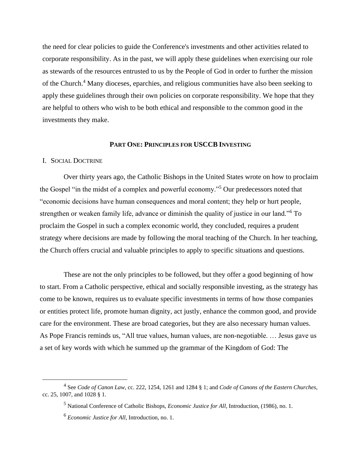the need for clear policies to guide the Conference's investments and other activities related to corporate responsibility. As in the past, we will apply these guidelines when exercising our role as stewards of the resources entrusted to us by the People of God in order to further the mission of the Church.<sup>4</sup> Many dioceses, eparchies, and religious communities have also been seeking to apply these guidelines through their own policies on corporate responsibility. We hope that they are helpful to others who wish to be both ethical and responsible to the common good in the investments they make.

#### **PART ONE: PRINCIPLES FOR USCCB INVESTING**

#### I. SOCIAL DOCTRINE

Over thirty years ago, the Catholic Bishops in the United States wrote on how to proclaim the Gospel "in the midst of a complex and powerful economy."<sup>5</sup> Our predecessors noted that "economic decisions have human consequences and moral content; they help or hurt people, strengthen or weaken family life, advance or diminish the quality of justice in our land."<sup>6</sup> To proclaim the Gospel in such a complex economic world, they concluded, requires a prudent strategy where decisions are made by following the moral teaching of the Church. In her teaching, the Church offers crucial and valuable principles to apply to specific situations and questions.

These are not the only principles to be followed, but they offer a good beginning of how to start. From a Catholic perspective, ethical and socially responsible investing, as the strategy has come to be known, requires us to evaluate specific investments in terms of how those companies or entities protect life, promote human dignity, act justly, enhance the common good, and provide care for the environment. These are broad categories, but they are also necessary human values. As Pope Francis reminds us, "All true values, human values, are non-negotiable. … Jesus gave us a set of key words with which he summed up the grammar of the Kingdom of God: The

<sup>4</sup> See *Code of Canon Law*, cc. 222, 1254, 1261 and 1284 § 1; and *Code of Canons of the Eastern Churches*, cc. 25, 1007, and 1028 § 1.

<sup>5</sup> National Conference of Catholic Bishops, *Economic Justice for All*, Introduction, (1986), no. 1.

<sup>6</sup> *Economic Justice for All*, Introduction, no. 1.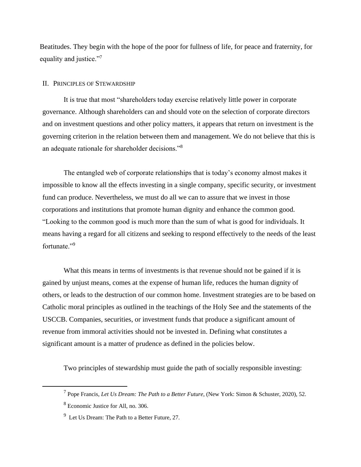Beatitudes. They begin with the hope of the poor for fullness of life, for peace and fraternity, for equality and justice."<sup>7</sup>

# II. PRINCIPLES OF STEWARDSHIP

It is true that most "shareholders today exercise relatively little power in corporate governance. Although shareholders can and should vote on the selection of corporate directors and on investment questions and other policy matters, it appears that return on investment is the governing criterion in the relation between them and management. We do not believe that this is an adequate rationale for shareholder decisions."<sup>8</sup>

The entangled web of corporate relationships that is today's economy almost makes it impossible to know all the effects investing in a single company, specific security, or investment fund can produce. Nevertheless, we must do all we can to assure that we invest in those corporations and institutions that promote human dignity and enhance the common good. "Looking to the common good is much more than the sum of what is good for individuals. It means having a regard for all citizens and seeking to respond effectively to the needs of the least fortunate."<sup>9</sup>

What this means in terms of investments is that revenue should not be gained if it is gained by unjust means, comes at the expense of human life, reduces the human dignity of others, or leads to the destruction of our common home. Investment strategies are to be based on Catholic moral principles as outlined in the teachings of the Holy See and the statements of the USCCB. Companies, securities, or investment funds that produce a significant amount of revenue from immoral activities should not be invested in. Defining what constitutes a significant amount is a matter of prudence as defined in the policies below.

Two principles of stewardship must guide the path of socially responsible investing:

<sup>7</sup> Pope Francis, *Let Us Dream: The Path to a Better Future*, (New York: Simon & Schuster, 2020), 52.

<sup>8</sup> Economic Justice for All, no. 306.

<sup>&</sup>lt;sup>9</sup> Let Us Dream: The Path to a Better Future, 27.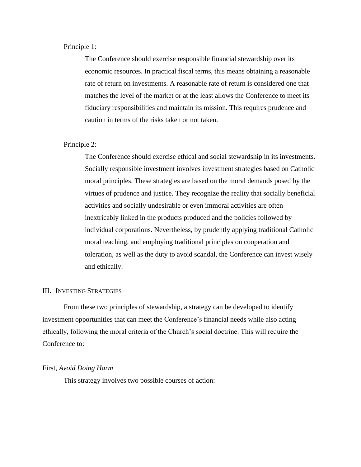# Principle 1:

The Conference should exercise responsible financial stewardship over its economic resources. In practical fiscal terms, this means obtaining a reasonable rate of return on investments. A reasonable rate of return is considered one that matches the level of the market or at the least allows the Conference to meet its fiduciary responsibilities and maintain its mission. This requires prudence and caution in terms of the risks taken or not taken.

#### Principle 2:

The Conference should exercise ethical and social stewardship in its investments. Socially responsible investment involves investment strategies based on Catholic moral principles. These strategies are based on the moral demands posed by the virtues of prudence and justice. They recognize the reality that socially beneficial activities and socially undesirable or even immoral activities are often inextricably linked in the products produced and the policies followed by individual corporations. Nevertheless, by prudently applying traditional Catholic moral teaching, and employing traditional principles on cooperation and toleration, as well as the duty to avoid scandal, the Conference can invest wisely and ethically.

#### III. INVESTING STRATEGIES

From these two principles of stewardship, a strategy can be developed to identify investment opportunities that can meet the Conference's financial needs while also acting ethically, following the moral criteria of the Church's social doctrine. This will require the Conference to:

#### First, *Avoid Doing Harm*

This strategy involves two possible courses of action: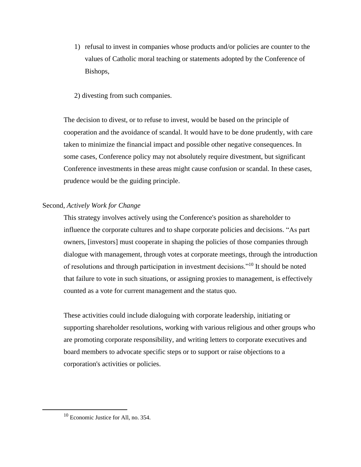- 1) refusal to invest in companies whose products and/or policies are counter to the values of Catholic moral teaching or statements adopted by the Conference of Bishops,
- 2) divesting from such companies.

The decision to divest, or to refuse to invest, would be based on the principle of cooperation and the avoidance of scandal. It would have to be done prudently, with care taken to minimize the financial impact and possible other negative consequences. In some cases, Conference policy may not absolutely require divestment, but significant Conference investments in these areas might cause confusion or scandal. In these cases, prudence would be the guiding principle.

# Second, *Actively Work for Change*

This strategy involves actively using the Conference's position as shareholder to influence the corporate cultures and to shape corporate policies and decisions. "As part owners, [investors] must cooperate in shaping the policies of those companies through dialogue with management, through votes at corporate meetings, through the introduction of resolutions and through participation in investment decisions."<sup>10</sup> It should be noted that failure to vote in such situations, or assigning proxies to management, is effectively counted as a vote for current management and the status quo.

These activities could include dialoguing with corporate leadership, initiating or supporting shareholder resolutions, working with various religious and other groups who are promoting corporate responsibility, and writing letters to corporate executives and board members to advocate specific steps or to support or raise objections to a corporation's activities or policies.

<sup>10</sup> Economic Justice for All, no. 354.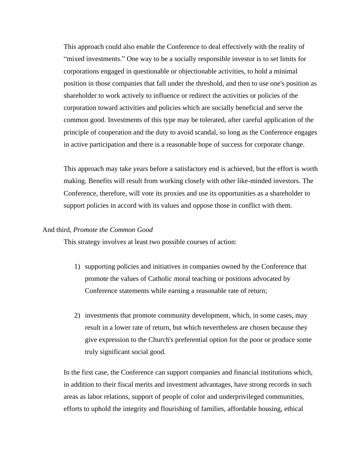This approach could also enable the Conference to deal effectively with the reality of "mixed investments." One way to be a socially responsible investor is to set limits for corporations engaged in questionable or objectionable activities, to hold a minimal position in those companies that fall under the threshold, and then to use one's position as shareholder to work actively to influence or redirect the activities or policies of the corporation toward activities and policies which are socially beneficial and serve the common good. Investments of this type may be tolerated, after careful application of the principle of cooperation and the duty to avoid scandal, so long as the Conference engages in active participation and there is a reasonable hope of success for corporate change.

This approach may take years before a satisfactory end is achieved, but the effort is worth making. Benefits will result from working closely with other like-minded investors. The Conference, therefore, will vote its proxies and use its opportunities as a shareholder to support policies in accord with its values and oppose those in conflict with them.

# And third, *Promote the Common Good*

This strategy involves at least two possible courses of action:

- 1) supporting policies and initiatives in companies owned by the Conference that promote the values of Catholic moral teaching or positions advocated by Conference statements while earning a reasonable rate of return;
- 2) investments that promote community development, which, in some cases, may result in a lower rate of return, but which nevertheless are chosen because they give expression to the Church's preferential option for the poor or produce some truly significant social good.

In the first case, the Conference can support companies and financial institutions which, in addition to their fiscal merits and investment advantages, have strong records in such areas as labor relations, support of people of color and underprivileged communities, efforts to uphold the integrity and flourishing of families, affordable housing, ethical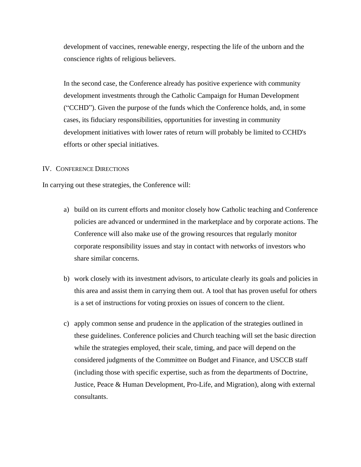development of vaccines, renewable energy, respecting the life of the unborn and the conscience rights of religious believers.

In the second case, the Conference already has positive experience with community development investments through the Catholic Campaign for Human Development ("CCHD"). Given the purpose of the funds which the Conference holds, and, in some cases, its fiduciary responsibilities, opportunities for investing in community development initiatives with lower rates of return will probably be limited to CCHD's efforts or other special initiatives.

# IV. CONFERENCE DIRECTIONS

In carrying out these strategies, the Conference will:

- a) build on its current efforts and monitor closely how Catholic teaching and Conference policies are advanced or undermined in the marketplace and by corporate actions. The Conference will also make use of the growing resources that regularly monitor corporate responsibility issues and stay in contact with networks of investors who share similar concerns.
- b) work closely with its investment advisors, to articulate clearly its goals and policies in this area and assist them in carrying them out. A tool that has proven useful for others is a set of instructions for voting proxies on issues of concern to the client.
- c) apply common sense and prudence in the application of the strategies outlined in these guidelines. Conference policies and Church teaching will set the basic direction while the strategies employed, their scale, timing, and pace will depend on the considered judgments of the Committee on Budget and Finance, and USCCB staff (including those with specific expertise, such as from the departments of Doctrine, Justice, Peace & Human Development, Pro-Life, and Migration), along with external consultants.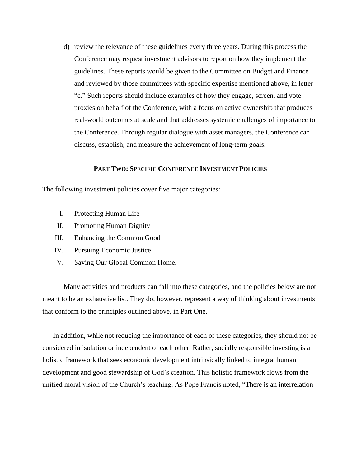d) review the relevance of these guidelines every three years. During this process the Conference may request investment advisors to report on how they implement the guidelines. These reports would be given to the Committee on Budget and Finance and reviewed by those committees with specific expertise mentioned above, in letter "c." Such reports should include examples of how they engage, screen, and vote proxies on behalf of the Conference, with a focus on active ownership that produces real-world outcomes at scale and that addresses systemic challenges of importance to the Conference. Through regular dialogue with asset managers, the Conference can discuss, establish, and measure the achievement of long-term goals.

# **PART TWO: SPECIFIC CONFERENCE INVESTMENT POLICIES**

The following investment policies cover five major categories:

- I. Protecting Human Life
- II. Promoting Human Dignity
- III. Enhancing the Common Good
- IV. Pursuing Economic Justice
- V. Saving Our Global Common Home.

Many activities and products can fall into these categories, and the policies below are not meant to be an exhaustive list. They do, however, represent a way of thinking about investments that conform to the principles outlined above, in Part One.

In addition, while not reducing the importance of each of these categories, they should not be considered in isolation or independent of each other. Rather, socially responsible investing is a holistic framework that sees economic development intrinsically linked to integral human development and good stewardship of God's creation. This holistic framework flows from the unified moral vision of the Church's teaching. As Pope Francis noted, "There is an interrelation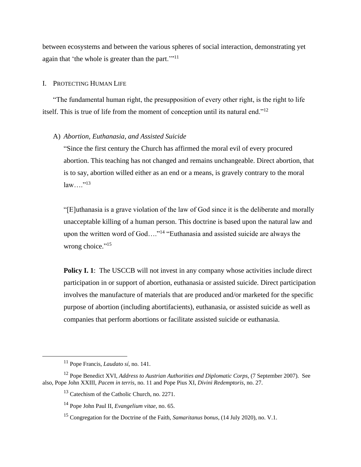between ecosystems and between the various spheres of social interaction, demonstrating yet again that 'the whole is greater than the part."<sup>11</sup>

#### I. PROTECTING HUMAN LIFE

"The fundamental human right, the presupposition of every other right, is the right to life itself. This is true of life from the moment of conception until its natural end."<sup>12</sup>

## A) *Abortion, Euthanasia, and Assisted Suicide*

"Since the first century the Church has affirmed the moral evil of every procured abortion. This teaching has not changed and remains unchangeable. Direct abortion, that is to say, abortion willed either as an end or a means, is gravely contrary to the moral  $law...$ "<sup>13</sup>

"[E]uthanasia is a grave violation of the law of God since it is the deliberate and morally unacceptable killing of a human person. This doctrine is based upon the natural law and upon the written word of God...."<sup>14</sup> "Euthanasia and assisted suicide are always the wrong choice."<sup>15</sup>

**Policy I. 1:** The USCCB will not invest in any company whose activities include direct participation in or support of abortion, euthanasia or assisted suicide. Direct participation involves the manufacture of materials that are produced and/or marketed for the specific purpose of abortion (including abortifacients), euthanasia, or assisted suicide as well as companies that perform abortions or facilitate assisted suicide or euthanasia.

<sup>11</sup> Pope Francis, *Laudato sí*, no. 141.

<sup>12</sup> Pope Benedict XVI, *Address to Austrian Authorities and Diplomatic Corps*, (7 September 2007). See also, Pope John XXIII, *Pacem in terris*, no. 11 and Pope Pius XI, *Divini Redemptoris*, no. 27.

<sup>&</sup>lt;sup>13</sup> Catechism of the Catholic Church, no. 2271.

<sup>14</sup> Pope John Paul II, *Evangelium vitae*, no. 65.

<sup>15</sup> Congregation for the Doctrine of the Faith, *Samaritanus bonus*, (14 July 2020), no. V.1.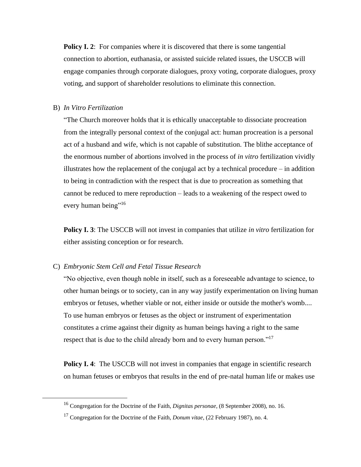**Policy I. 2:** For companies where it is discovered that there is some tangential connection to abortion, euthanasia, or assisted suicide related issues, the USCCB will engage companies through corporate dialogues, proxy voting, corporate dialogues, proxy voting, and support of shareholder resolutions to eliminate this connection.

#### B) *In Vitro Fertilization*

"The Church moreover holds that it is ethically unacceptable to dissociate procreation from the integrally personal context of the conjugal act: human procreation is a personal act of a husband and wife, which is not capable of substitution. The blithe acceptance of the enormous number of abortions involved in the process of *in vitro* fertilization vividly illustrates how the replacement of the conjugal act by a technical procedure – in addition to being in contradiction with the respect that is due to procreation as something that cannot be reduced to mere reproduction – leads to a weakening of the respect owed to every human being"<sup>16</sup>

**Policy I. 3**: The USCCB will not invest in companies that utilize *in vitro* fertilization for either assisting conception or for research.

# C) *Embryonic Stem Cell and Fetal Tissue Research*

"No objective, even though noble in itself, such as a foreseeable advantage to science, to other human beings or to society, can in any way justify experimentation on living human embryos or fetuses, whether viable or not, either inside or outside the mother's womb.... To use human embryos or fetuses as the object or instrument of experimentation constitutes a crime against their dignity as human beings having a right to the same respect that is due to the child already born and to every human person."<sup>17</sup>

**Policy I. 4**: The USCCB will not invest in companies that engage in scientific research on human fetuses or embryos that results in the end of pre-natal human life or makes use

<sup>16</sup> Congregation for the Doctrine of the Faith, *Dignitas personae*, (8 September 2008), no. 16.

<sup>17</sup> Congregation for the Doctrine of the Faith, *Donum vitae*, (22 February 1987), no. 4.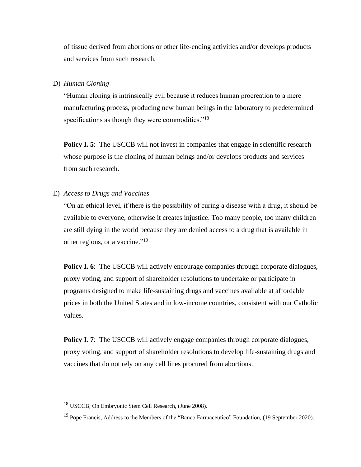of tissue derived from abortions or other life-ending activities and/or develops products and services from such research.

# D) *Human Cloning*

"Human cloning is intrinsically evil because it reduces human procreation to a mere manufacturing process, producing new human beings in the laboratory to predetermined specifications as though they were commodities."<sup>18</sup>

**Policy I.** 5: The USCCB will not invest in companies that engage in scientific research whose purpose is the cloning of human beings and/or develops products and services from such research.

#### E) *Access to Drugs and Vaccines*

"On an ethical level, if there is the possibility of curing a disease with a drug, it should be available to everyone, otherwise it creates injustice. Too many people, too many children are still dying in the world because they are denied access to a drug that is available in other regions, or a vaccine."<sup>19</sup>

**Policy I. 6**: The USCCB will actively encourage companies through corporate dialogues, proxy voting, and support of shareholder resolutions to undertake or participate in programs designed to make life-sustaining drugs and vaccines available at affordable prices in both the United States and in low-income countries, consistent with our Catholic values.

**Policy I. 7:** The USCCB will actively engage companies through corporate dialogues, proxy voting, and support of shareholder resolutions to develop life-sustaining drugs and vaccines that do not rely on any cell lines procured from abortions.

<sup>18</sup> USCCB, On Embryonic Stem Cell Research, (June 2008).

<sup>&</sup>lt;sup>19</sup> Pope Francis, Address to the Members of the "Banco Farmaceutico" Foundation, (19 September 2020).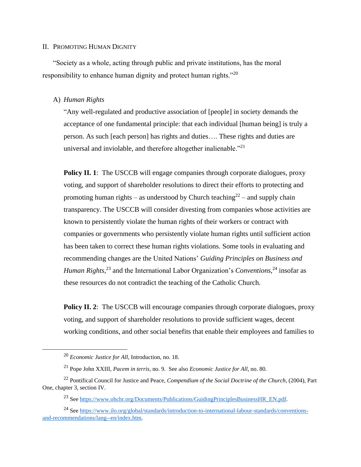#### II. PROMOTING HUMAN DIGNITY

"Society as a whole, acting through public and private institutions, has the moral responsibility to enhance human dignity and protect human rights." $^{20}$ 

#### A) *Human Rights*

"Any well-regulated and productive association of [people] in society demands the acceptance of one fundamental principle: that each individual [human being] is truly a person. As such [each person] has rights and duties…. These rights and duties are universal and inviolable, and therefore altogether inalienable."<sup>21</sup>

**Policy II. 1:** The USCCB will engage companies through corporate dialogues, proxy voting, and support of shareholder resolutions to direct their efforts to protecting and promoting human rights – as understood by Church teaching<sup>22</sup> – and supply chain transparency. The USCCB will consider divesting from companies whose activities are known to persistently violate the human rights of their workers or contract with companies or governments who persistently violate human rights until sufficient action has been taken to correct these human rights violations. Some tools in evaluating and recommending changes are the United Nations' *Guiding Principles on Business and Human Rights*, <sup>23</sup> and the International Labor Organization's *Conventions*, <sup>24</sup> insofar as these resources do not contradict the teaching of the Catholic Church.

**Policy II. 2:** The USCCB will encourage companies through corporate dialogues, proxy voting, and support of shareholder resolutions to provide sufficient wages, decent working conditions, and other social benefits that enable their employees and families to

<sup>20</sup> *Economic Justice for All*, Introduction, no. 18.

<sup>21</sup> Pope John XXIII, *Pacem in terris*, no. 9. See also *Economic Justice for All*, no. 80.

<sup>22</sup> Pontifical Council for Justice and Peace, *Compendium of the Social Doctrine of the Church*, (2004), Part One, chapter 3, section IV.

<sup>&</sup>lt;sup>23</sup> Se[e https://www.ohchr.org/Documents/Publications/GuidingPrinciplesBusinessHR\\_EN.pdf.](https://www.ohchr.org/Documents/Publications/GuidingPrinciplesBusinessHR_EN.pdf)

<sup>24</sup> Se[e https://www.ilo.org/global/standards/introduction-to-international-labour-standards/conventions](https://www.ilo.org/global/standards/introduction-to-international-labour-standards/conventions-and-recommendations/lang--en/index.htm)[and-recommendations/lang--en/index.htm.](https://www.ilo.org/global/standards/introduction-to-international-labour-standards/conventions-and-recommendations/lang--en/index.htm)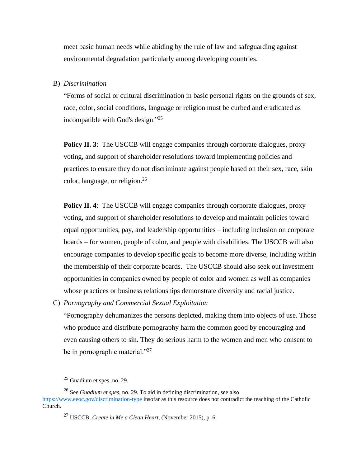meet basic human needs while abiding by the rule of law and safeguarding against environmental degradation particularly among developing countries.

#### B) *Discrimination*

"Forms of social or cultural discrimination in basic personal rights on the grounds of sex, race, color, social conditions, language or religion must be curbed and eradicated as incompatible with God's design."<sup>25</sup>

**Policy II. 3:** The USCCB will engage companies through corporate dialogues, proxy voting, and support of shareholder resolutions toward implementing policies and practices to ensure they do not discriminate against people based on their sex, race, skin color, language, or religion. 26

**Policy II. 4:** The USCCB will engage companies through corporate dialogues, proxy voting, and support of shareholder resolutions to develop and maintain policies toward equal opportunities, pay, and leadership opportunities – including inclusion on corporate boards – for women, people of color, and people with disabilities. The USCCB will also encourage companies to develop specific goals to become more diverse, including within the membership of their corporate boards. The USCCB should also seek out investment opportunities in companies owned by people of color and women as well as companies whose practices or business relationships demonstrate diversity and racial justice.

C) *Pornography and Commercial Sexual Exploitation* 

"Pornography dehumanizes the persons depicted, making them into objects of use. Those who produce and distribute pornography harm the common good by encouraging and even causing others to sin. They do serious harm to the women and men who consent to be in pornographic material. $"^{27}$ 

<sup>25</sup> Guadium et spes, no. 29.

<sup>26</sup> See *Guadium et spes*, no. 29. To aid in defining discrimination, see also <https://www.eeoc.gov/discrimination-type> insofar as this resource does not contradict the teaching of the Catholic Church.

<sup>27</sup> USCCB, *Create in Me a Clean Heart,* (November 2015), p. 6.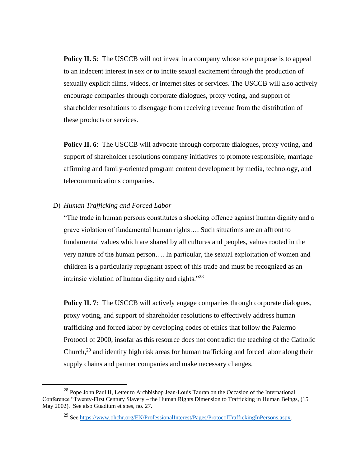**Policy II. 5:** The USCCB will not invest in a company whose sole purpose is to appeal to an indecent interest in sex or to incite sexual excitement through the production of sexually explicit films, videos, or internet sites or services. The USCCB will also actively encourage companies through corporate dialogues, proxy voting, and support of shareholder resolutions to disengage from receiving revenue from the distribution of these products or services.

**Policy II. 6**: The USCCB will advocate through corporate dialogues, proxy voting, and support of shareholder resolutions company initiatives to promote responsible, marriage affirming and family-oriented program content development by media, technology, and telecommunications companies.

# D) *Human Trafficking and Forced Labor*

"The trade in human persons constitutes a shocking offence against human dignity and a grave violation of fundamental human rights…. Such situations are an affront to fundamental values which are shared by all cultures and peoples, values rooted in the very nature of the human person…. In particular, the sexual exploitation of women and children is a particularly repugnant aspect of this trade and must be recognized as an intrinsic violation of human dignity and rights."<sup>28</sup>

**Policy II. 7:** The USCCB will actively engage companies through corporate dialogues, proxy voting, and support of shareholder resolutions to effectively address human trafficking and forced labor by developing codes of ethics that follow the Palermo Protocol of 2000, insofar as this resource does not contradict the teaching of the Catholic Church,<sup>29</sup> and identify high risk areas for human trafficking and forced labor along their supply chains and partner companies and make necessary changes.

<sup>&</sup>lt;sup>28</sup> Pope John Paul II, Letter to Archbishop Jean-Louis Tauran on the Occasion of the International Conference "Twenty-First Century Slavery – the Human Rights Dimension to Trafficking in Human Beings, (15 May 2002). See also Guadium et spes, no. 27.

<sup>&</sup>lt;sup>29</sup> Se[e https://www.ohchr.org/EN/ProfessionalInterest/Pages/ProtocolTraffickingInPersons.aspx.](https://www.ohchr.org/EN/ProfessionalInterest/Pages/ProtocolTraffickingInPersons.aspx)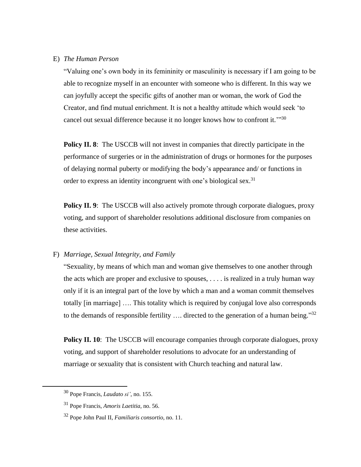#### E) *The Human Person*

"Valuing one's own body in its femininity or masculinity is necessary if I am going to be able to recognize myself in an encounter with someone who is different. In this way we can joyfully accept the specific gifts of another man or woman, the work of God the Creator, and find mutual enrichment. It is not a healthy attitude which would seek 'to cancel out sexual difference because it no longer knows how to confront it."<sup>30</sup>

**Policy II. 8:** The USCCB will not invest in companies that directly participate in the performance of surgeries or in the administration of drugs or hormones for the purposes of delaying normal puberty or modifying the body's appearance and/ or functions in order to express an identity incongruent with one's biological sex.<sup>31</sup>

**Policy II. 9:** The USCCB will also actively promote through corporate dialogues, proxy voting, and support of shareholder resolutions additional disclosure from companies on these activities.

# F) *Marriage, Sexual Integrity, and Family*

"Sexuality, by means of which man and woman give themselves to one another through the acts which are proper and exclusive to spouses, . . . . is realized in a truly human way only if it is an integral part of the love by which a man and a woman commit themselves totally [in marriage] …. This totality which is required by conjugal love also corresponds to the demands of responsible fertility  $\dots$  directed to the generation of a human being."<sup>32</sup>

**Policy II. 10**: The USCCB will encourage companies through corporate dialogues, proxy voting, and support of shareholder resolutions to advocate for an understanding of marriage or sexuality that is consistent with Church teaching and natural law.

<sup>30</sup> Pope Francis, *Laudato si'*, no. 155.

<sup>31</sup> Pope Francis, *Amoris Laetitia*, no. 56.

<sup>32</sup> Pope John Paul II, *Familiaris consortio*, no. 11.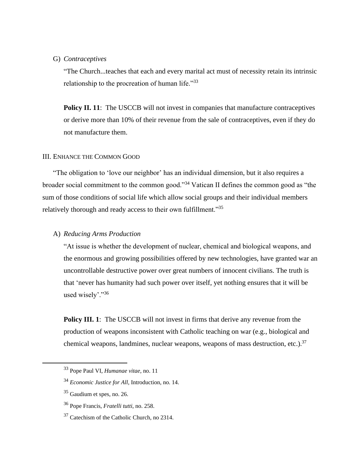#### G) *Contraceptives*

"The Church...teaches that each and every marital act must of necessity retain its intrinsic relationship to the procreation of human life."<sup>33</sup>

**Policy II. 11:** The USCCB will not invest in companies that manufacture contraceptives or derive more than 10% of their revenue from the sale of contraceptives, even if they do not manufacture them.

# III. ENHANCE THE COMMON GOOD

"The obligation to 'love our neighbor' has an individual dimension, but it also requires a broader social commitment to the common good."<sup>34</sup> Vatican II defines the common good as "the sum of those conditions of social life which allow social groups and their individual members relatively thorough and ready access to their own fulfillment."<sup>35</sup>

# A) *Reducing Arms Production*

"At issue is whether the development of nuclear, chemical and biological weapons, and the enormous and growing possibilities offered by new technologies, have granted war an uncontrollable destructive power over great numbers of innocent civilians. The truth is that 'never has humanity had such power over itself, yet nothing ensures that it will be used wisely'."36

**Policy III. 1:** The USCCB will not invest in firms that derive any revenue from the production of weapons inconsistent with Catholic teaching on war (e.g., biological and chemical weapons, landmines, nuclear weapons, weapons of mass destruction, etc.).<sup>37</sup>

<sup>33</sup> Pope Paul VI, *Humanae vitae*, no. 11

<sup>34</sup> *Economic Justice for All*, Introduction, no. 14.

<sup>35</sup> Gaudium et spes, no. 26.

<sup>36</sup> Pope Francis, *Fratelli tutti*, no. 258.

<sup>&</sup>lt;sup>37</sup> Catechism of the Catholic Church, no 2314.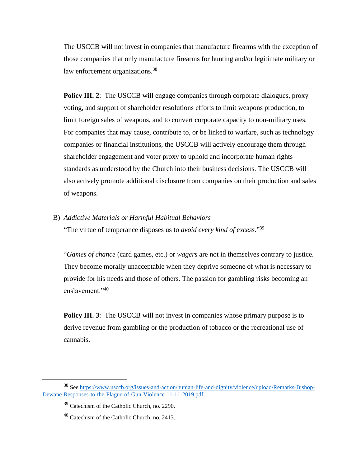The USCCB will not invest in companies that manufacture firearms with the exception of those companies that only manufacture firearms for hunting and/or legitimate military or law enforcement organizations.<sup>38</sup>

**Policy III. 2:** The USCCB will engage companies through corporate dialogues, proxy voting, and support of shareholder resolutions efforts to limit weapons production, to limit foreign sales of weapons, and to convert corporate capacity to non-military uses. For companies that may cause, contribute to, or be linked to warfare, such as technology companies or financial institutions, the USCCB will actively encourage them through shareholder engagement and voter proxy to uphold and incorporate human rights standards as understood by the Church into their business decisions. The USCCB will also actively promote additional disclosure from companies on their production and sales of weapons.

B) *Addictive Materials or Harmful Habitual Behaviors*

"The virtue of temperance disposes us to *avoid every kind of excess*."<sup>39</sup>

"*Games of chance* (card games, etc.) or *wagers* are not in themselves contrary to justice. They become morally unacceptable when they deprive someone of what is necessary to provide for his needs and those of others. The passion for gambling risks becoming an enslavement."<sup>40</sup>

**Policy III. 3:** The USCCB will not invest in companies whose primary purpose is to derive revenue from gambling or the production of tobacco or the recreational use of cannabis.

<sup>38</sup> Se[e https://www.usccb.org/issues-and-action/human-life-and-dignity/violence/upload/Remarks-Bishop-](https://www.usccb.org/issues-and-action/human-life-and-dignity/violence/upload/Remarks-Bishop-Dewane-Responses-to-the-Plague-of-Gun-Violence-11-11-2019.pdf)[Dewane-Responses-to-the-Plague-of-Gun-Violence-11-11-2019.pdf.](https://www.usccb.org/issues-and-action/human-life-and-dignity/violence/upload/Remarks-Bishop-Dewane-Responses-to-the-Plague-of-Gun-Violence-11-11-2019.pdf)

<sup>39</sup> Catechism of the Catholic Church, no. 2290.

 $40$  Catechism of the Catholic Church, no. 2413.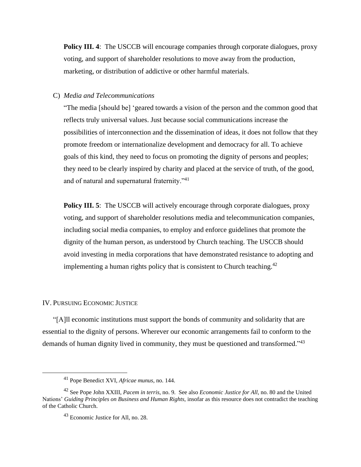**Policy III. 4**:The USCCB will encourage companies through corporate dialogues, proxy voting, and support of shareholder resolutions to move away from the production, marketing, or distribution of addictive or other harmful materials.

# C) *Media and Telecommunications*

"The media [should be] 'geared towards a vision of the person and the common good that reflects truly universal values. Just because social communications increase the possibilities of interconnection and the dissemination of ideas, it does not follow that they promote freedom or internationalize development and democracy for all. To achieve goals of this kind, they need to focus on promoting the dignity of persons and peoples; they need to be clearly inspired by charity and placed at the service of truth, of the good, and of natural and supernatural fraternity."<sup>41</sup>

**Policy III. 5:** The USCCB will actively encourage through corporate dialogues, proxy voting, and support of shareholder resolutions media and telecommunication companies, including social media companies, to employ and enforce guidelines that promote the dignity of the human person, as understood by Church teaching. The USCCB should avoid investing in media corporations that have demonstrated resistance to adopting and implementing a human rights policy that is consistent to Church teaching.<sup>42</sup>

#### IV. PURSUING ECONOMIC JUSTICE

"[A]ll economic institutions must support the bonds of community and solidarity that are essential to the dignity of persons. Wherever our economic arrangements fail to conform to the demands of human dignity lived in community, they must be questioned and transformed."<sup>43</sup>

<sup>41</sup> Pope Benedict XVI, *Africae munus*, no. 144.

<sup>42</sup> See Pope John XXIII, *Pacem in terris*, no. 9. See also *Economic Justice for All*, no. 80 and the United Nations' *Guiding Principles on Business and Human Rights*, insofar as this resource does not contradict the teaching of the Catholic Church.

<sup>43</sup> Economic Justice for All, no. 28.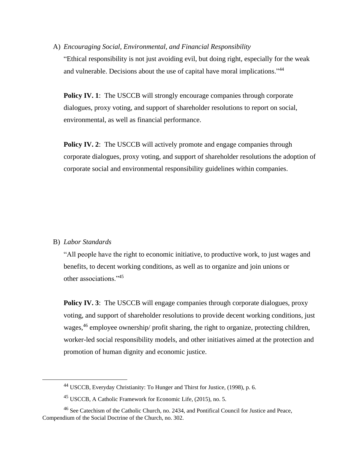A) *Encouraging Social, Environmental, and Financial Responsibility*

"Ethical responsibility is not just avoiding evil, but doing right, especially for the weak and vulnerable. Decisions about the use of capital have moral implications."<sup>44</sup>

**Policy IV. 1**: The USCCB will strongly encourage companies through corporate dialogues, proxy voting, and support of shareholder resolutions to report on social, environmental, as well as financial performance.

**Policy IV. 2:** The USCCB will actively promote and engage companies through corporate dialogues, proxy voting, and support of shareholder resolutions the adoption of corporate social and environmental responsibility guidelines within companies.

# B) *Labor Standards*

"All people have the right to economic initiative, to productive work, to just wages and benefits, to decent working conditions, as well as to organize and join unions or other associations."<sup>45</sup>

**Policy IV. 3:** The USCCB will engage companies through corporate dialogues, proxy voting, and support of shareholder resolutions to provide decent working conditions, just wages,<sup>46</sup> employee ownership/ profit sharing, the right to organize, protecting children, worker-led social responsibility models, and other initiatives aimed at the protection and promotion of human dignity and economic justice.

<sup>44</sup> USCCB, Everyday Christianity: To Hunger and Thirst for Justice, (1998), p. 6.

<sup>45</sup> USCCB, A Catholic Framework for Economic Life, (2015), no. 5.

<sup>46</sup> See Catechism of the Catholic Church, no. 2434, and Pontifical Council for Justice and Peace, Compendium of the Social Doctrine of the Church, no. 302.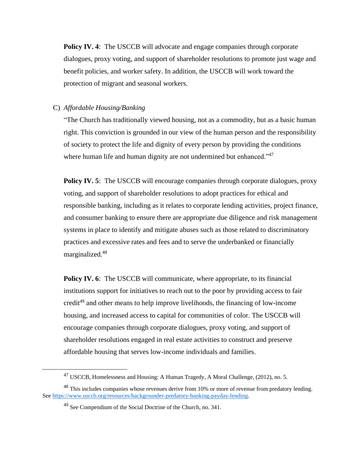**Policy IV. 4**:The USCCB will advocate and engage companies through corporate dialogues, proxy voting, and support of shareholder resolutions to promote just wage and benefit policies, and worker safety. In addition, the USCCB will work toward the protection of migrant and seasonal workers.

# C) *Affordable Housing/Banking*

"The Church has traditionally viewed housing, not as a commodity, but as a basic human right. This conviction is grounded in our view of the human person and the responsibility of society to protect the life and dignity of every person by providing the conditions where human life and human dignity are not undermined but enhanced."<sup>47</sup>

**Policy IV. 5:** The USCCB will encourage companies through corporate dialogues, proxy voting, and support of shareholder resolutions to adopt practices for ethical and responsible banking, including as it relates to corporate lending activities, project finance, and consumer banking to ensure there are appropriate due diligence and risk management systems in place to identify and mitigate abuses such as those related to discriminatory practices and excessive rates and fees and to serve the underbanked or financially marginalized.<sup>48</sup>

**Policy IV. 6:** The USCCB will communicate, where appropriate, to its financial institutions support for initiatives to reach out to the poor by providing access to fair credit<sup>49</sup> and other means to help improve livelihoods, the financing of low-income housing, and increased access to capital for communities of color. The USCCB will encourage companies through corporate dialogues, proxy voting, and support of shareholder resolutions engaged in real estate activities to construct and preserve affordable housing that serves low-income individuals and families.

<sup>47</sup> USCCB, Homelessness and Housing: A Human Tragedy, A Moral Challenge, (2012), no. 5.

 $48$  This includes companies whose revenues derive from 10% or more of revenue from predatory lending. See [https://www.usccb.org/resources/backgrounder-predatory-banking-payday-lending.](https://www.usccb.org/resources/backgrounder-predatory-banking-payday-lending)

<sup>&</sup>lt;sup>49</sup> See Compendium of the Social Doctrine of the Church, no. 341.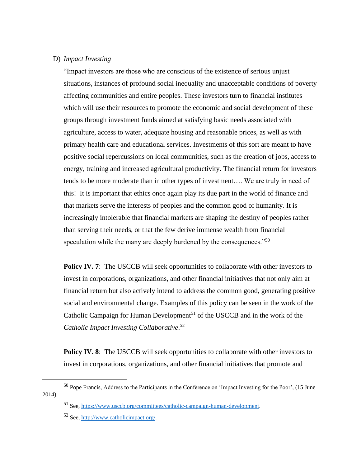# D) *Impact Investing*

"Impact investors are those who are conscious of the existence of serious unjust situations, instances of profound social inequality and unacceptable conditions of poverty affecting communities and entire peoples. These investors turn to financial institutes which will use their resources to promote the economic and social development of these groups through investment funds aimed at satisfying basic needs associated with agriculture, access to water, adequate housing and reasonable prices, as well as with primary health care and educational services. Investments of this sort are meant to have positive social repercussions on local communities, such as the creation of jobs, access to energy, training and increased agricultural productivity. The financial return for investors tends to be more moderate than in other types of investment…. We are truly in need of this! It is important that ethics once again play its due part in the world of finance and that markets serve the interests of peoples and the common good of humanity. It is increasingly intolerable that financial markets are shaping the destiny of peoples rather than serving their needs, or that the few derive immense wealth from financial speculation while the many are deeply burdened by the consequences."<sup>50</sup>

**Policy IV. 7:** The USCCB will seek opportunities to collaborate with other investors to invest in corporations, organizations, and other financial initiatives that not only aim at financial return but also actively intend to address the common good, generating positive social and environmental change. Examples of this policy can be seen in the work of the Catholic Campaign for Human Development<sup>51</sup> of the USCCB and in the work of the *Catholic Impact Investing Collaborative*. 52

**Policy IV. 8**: The USCCB will seek opportunities to collaborate with other investors to invest in corporations, organizations, and other financial initiatives that promote and

<sup>50</sup> Pope Francis, Address to the Participants in the Conference on 'Impact Investing for the Poor', (15 June 2014).

<sup>51</sup> See, [https://www.usccb.org/committees/catholic-campaign-human-development.](https://www.usccb.org/committees/catholic-campaign-human-development)

<sup>52</sup> See, [http://www.catholicimpact.org/.](http://www.catholicimpact.org/)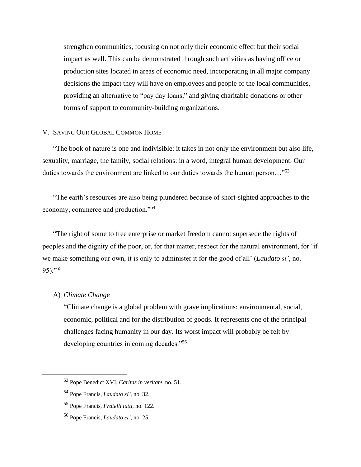strengthen communities, focusing on not only their economic effect but their social impact as well. This can be demonstrated through such activities as having office or production sites located in areas of economic need, incorporating in all major company decisions the impact they will have on employees and people of the local communities, providing an alternative to "pay day loans," and giving charitable donations or other forms of support to community-building organizations.

#### V. SAVING OUR GLOBAL COMMON HOME

"The book of nature is one and indivisible: it takes in not only the environment but also life, sexuality, marriage, the family, social relations: in a word, integral human development. Our duties towards the environment are linked to our duties towards the human person…"<sup>53</sup>

"The earth's resources are also being plundered because of short-sighted approaches to the economy, commerce and production."<sup>54</sup>

"The right of some to free enterprise or market freedom cannot supersede the rights of peoples and the dignity of the poor, or, for that matter, respect for the natural environment, for 'if we make something our own, it is only to administer it for the good of all' (*Laudato si'*, no.  $95$ )."<sup>55</sup>

# A) *Climate Change*

"Climate change is a global problem with grave implications: environmental, social, economic, political and for the distribution of goods. It represents one of the principal challenges facing humanity in our day. Its worst impact will probably be felt by developing countries in coming decades."<sup>56</sup>

<sup>53</sup> Pope Benedict XVI, *Caritas in veritate*, no. 51.

<sup>54</sup> Pope Francis, *Laudato si'*, no. 32.

<sup>55</sup> Pope Francis, *Fratelli tutti*, no. 122.

<sup>56</sup> Pope Francis, *Laudato si'*, no. 25.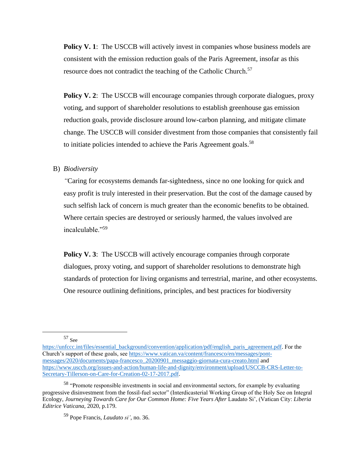**Policy V. 1:** The USCCB will actively invest in companies whose business models are consistent with the emission reduction goals of the Paris Agreement, insofar as this resource does not contradict the teaching of the Catholic Church.<sup>57</sup>

**Policy V. 2:** The USCCB will encourage companies through corporate dialogues, proxy voting, and support of shareholder resolutions to establish greenhouse gas emission reduction goals, provide disclosure around low-carbon planning, and mitigate climate change. The USCCB will consider divestment from those companies that consistently fail to initiate policies intended to achieve the Paris Agreement goals. $58$ 

#### B) *Biodiversity*

*"*Caring for ecosystems demands far-sightedness, since no one looking for quick and easy profit is truly interested in their preservation. But the cost of the damage caused by such selfish lack of concern is much greater than the economic benefits to be obtained. Where certain species are destroyed or seriously harmed, the values involved are incalculable."<sup>59</sup>

**Policy V. 3:** The USCCB will actively encourage companies through corporate dialogues, proxy voting, and support of shareholder resolutions to demonstrate high standards of protection for living organisms and terrestrial, marine, and other ecosystems. One resource outlining definitions, principles, and best practices for biodiversity

<sup>57</sup> See

[https://unfccc.int/files/essential\\_background/convention/application/pdf/english\\_paris\\_agreement.pdf.](https://unfccc.int/files/essential_background/convention/application/pdf/english_paris_agreement.pdf) For the Church's support of these goals, see [https://www.vatican.va/content/francesco/en/messages/pont](https://www.vatican.va/content/francesco/en/messages/pont-messages/2020/documents/papa-francesco_20200901_messaggio-giornata-cura-creato.html)[messages/2020/documents/papa-francesco\\_20200901\\_messaggio-giornata-cura-creato.html](https://www.vatican.va/content/francesco/en/messages/pont-messages/2020/documents/papa-francesco_20200901_messaggio-giornata-cura-creato.html) and [https://www.usccb.org/issues-and-action/human-life-and-dignity/environment/upload/USCCB-CRS-Letter-to-](https://www.usccb.org/issues-and-action/human-life-and-dignity/environment/upload/USCCB-CRS-Letter-to-Secretary-Tillerson-on-Care-for-Creation-02-17-2017.pdf)[Secretary-Tillerson-on-Care-for-Creation-02-17-2017.pdf.](https://www.usccb.org/issues-and-action/human-life-and-dignity/environment/upload/USCCB-CRS-Letter-to-Secretary-Tillerson-on-Care-for-Creation-02-17-2017.pdf)

<sup>&</sup>lt;sup>58</sup> "Promote responsible investments in social and environmental sectors, for example by evaluating progressive disinvestment from the fossil-fuel sector" (Interdicasterial Working Group of the Holy See on Integral Ecology, *Journeying Towards Care for Our Common Home: Five Years After* Laudato Si', (Vatican City: *Liberia Editrice Vaticana*, 2020, p.179.

<sup>59</sup> Pope Francis, *Laudato si'*, no. 36.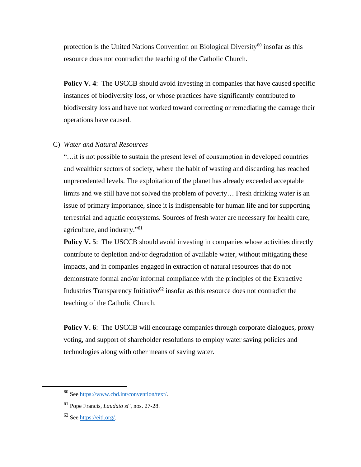protection is the United Nations Convention on Biological Diversity<sup>60</sup> insofar as this resource does not contradict the teaching of the Catholic Church.

**Policy V. 4:** The USCCB should avoid investing in companies that have caused specific instances of biodiversity loss, or whose practices have significantly contributed to biodiversity loss and have not worked toward correcting or remediating the damage their operations have caused.

# C) *Water and Natural Resources*

"…it is not possible to sustain the present level of consumption in developed countries and wealthier sectors of society, where the habit of wasting and discarding has reached unprecedented levels. The exploitation of the planet has already exceeded acceptable limits and we still have not solved the problem of poverty… Fresh drinking water is an issue of primary importance, since it is indispensable for human life and for supporting terrestrial and aquatic ecosystems. Sources of fresh water are necessary for health care, agriculture, and industry."<sup>61</sup>

**Policy V. 5:** The USCCB should avoid investing in companies whose activities directly contribute to depletion and/or degradation of available water, without mitigating these impacts, and in companies engaged in extraction of natural resources that do not demonstrate formal and/or informal compliance with the principles of the Extractive Industries Transparency Initiative<sup>62</sup> insofar as this resource does not contradict the teaching of the Catholic Church.

**Policy V. 6**: The USCCB will encourage companies through corporate dialogues, proxy voting, and support of shareholder resolutions to employ water saving policies and technologies along with other means of saving water.

<sup>60</sup> Se[e https://www.cbd.int/convention/text/.](https://www.cbd.int/convention/text/)

<sup>61</sup> Pope Francis, *Laudato si'*, nos. 27-28.

<sup>62</sup> Se[e https://eiti.org/.](https://eiti.org/)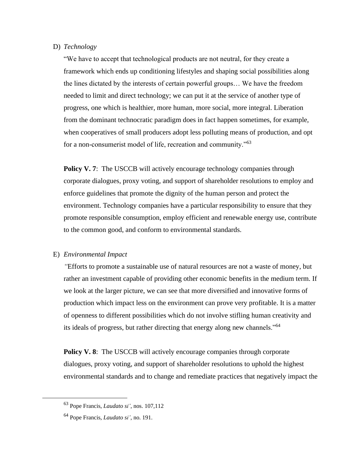# D) *Technology*

"We have to accept that technological products are not neutral, for they create a framework which ends up conditioning lifestyles and shaping social possibilities along the lines dictated by the interests of certain powerful groups… We have the freedom needed to limit and direct technology; we can put it at the service of another type of progress, one which is healthier, more human, more social, more integral. Liberation from the dominant technocratic paradigm does in fact happen sometimes, for example, when cooperatives of small producers adopt less polluting means of production, and opt for a non-consumerist model of life, recreation and community."<sup>63</sup>

**Policy V. 7:** The USCCB will actively encourage technology companies through corporate dialogues, proxy voting, and support of shareholder resolutions to employ and enforce guidelines that promote the dignity of the human person and protect the environment. Technology companies have a particular responsibility to ensure that they promote responsible consumption, employ efficient and renewable energy use, contribute to the common good, and conform to environmental standards.

#### E) *Environmental Impact*

*"*Efforts to promote a sustainable use of natural resources are not a waste of money, but rather an investment capable of providing other economic benefits in the medium term. If we look at the larger picture, we can see that more diversified and innovative forms of production which impact less on the environment can prove very profitable. It is a matter of openness to different possibilities which do not involve stifling human creativity and its ideals of progress, but rather directing that energy along new channels."<sup>64</sup>

**Policy V. 8**: The USCCB will actively encourage companies through corporate dialogues, proxy voting, and support of shareholder resolutions to uphold the highest environmental standards and to change and remediate practices that negatively impact the

<sup>63</sup> Pope Francis, *Laudato si'*, nos. 107,112

<sup>64</sup> Pope Francis, *Laudato si'*, no. 191.